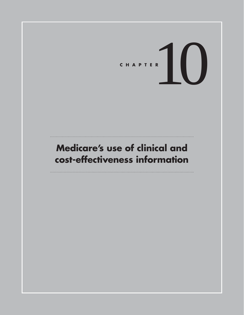CHAPTER<sup>10</sup>

## **Medicare's use of clinical and cost-effectiveness information**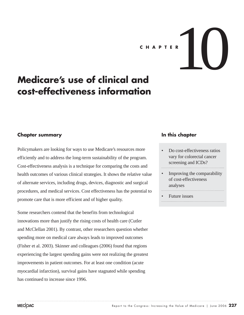# CHAPTER  $\left| \begin{array}{ccc} \end{array} \right|$

## **Medicare's use of clinical and cost-effectiveness information**

#### **Chapter summary**

Policymakers are looking for ways to use Medicare's resources more efficiently and to address the long-term sustainability of the program. Cost-effectiveness analysis is a technique for comparing the costs and health outcomes of various clinical strategies. It shows the relative value of alternate services, including drugs, devices, diagnostic and surgical procedures, and medical services. Cost effectiveness has the potential to promote care that is more efficient and of higher quality.

Some researchers contend that the benefits from technological innovations more than justify the rising costs of health care (Cutler and McClellan 2001). By contrast, other researchers question whether spending more on medical care always leads to improved outcomes (Fisher et al. 2003). Skinner and colleagues (2006) found that regions experiencing the largest spending gains were not realizing the greatest improvements in patient outcomes. For at least one condition (acute myocardial infarction), survival gains have stagnated while spending has continued to increase since 1996.

#### **In this chapter**

- Do cost-effectiveness ratios vary for colorectal cancer screening and ICDs?
- Improving the comparability of cost-effectiveness analyses
- Future issues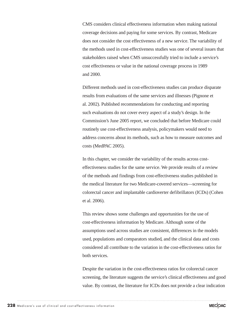CMS considers clinical effectiveness information when making national coverage decisions and paying for some services. By contrast, Medicare does not consider the cost effectiveness of a new service. The variability of the methods used in cost-effectiveness studies was one of several issues that stakeholders raised when CMS unsuccessfully tried to include a service's cost effectiveness or value in the national coverage process in 1989 and 2000.

Different methods used in cost-effectiveness studies can produce disparate results from evaluations of the same services and illnesses (Pignone et al. 2002). Published recommendations for conducting and reporting such evaluations do not cover every aspect of a study's design. In the Commission's June 2005 report, we concluded that before Medicare could routinely use cost-effectiveness analysis, policymakers would need to address concerns about its methods, such as how to measure outcomes and costs (MedPAC 2005).

In this chapter, we consider the variability of the results across costeffectiveness studies for the same service. We provide results of a review of the methods and findings from cost-effectiveness studies published in the medical literature for two Medicare-covered services—screening for colorectal cancer and implantable cardioverter defibrillators (ICDs) (Cohen et al. 2006).

This review shows some challenges and opportunities for the use of cost-effectiveness information by Medicare. Although some of the assumptions used across studies are consistent, differences in the models used, populations and comparators studied, and the clinical data and costs considered all contribute to the variation in the cost-effectiveness ratios for both services.

Despite the variation in the cost-effectiveness ratios for colorectal cancer screening, the literature suggests the service's clinical effectiveness and good value. By contrast, the literature for ICDs does not provide a clear indication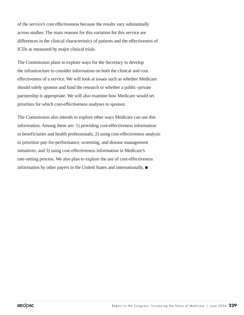of the service's cost effectiveness because the results vary substantially across studies. The main reasons for this variation for this service are differences in the clinical characteristics of patients and the effectiveness of ICDs as measured by major clinical trials.

The Commission plans to explore ways for the Secretary to develop the infrastructure to consider information on both the clinical and cost effectiveness of a service. We will look at issues such as whether Medicare should solely sponsor and fund the research or whether a public–private partnership is appropriate. We will also examine how Medicare would set priorities for which cost-effectiveness analyses to sponsor.

The Commission also intends to explore other ways Medicare can use this information. Among these are: 1) providing cost-effectiveness information to beneficiaries and health professionals; 2) using cost-effectiveness analysis to prioritize pay-for-performance, screening, and disease management initiatives; and 3) using cost-effectiveness information in Medicare's rate-setting process. We also plan to explore the use of cost-effectiveness information by other payers in the United States and internationally.  $\blacksquare$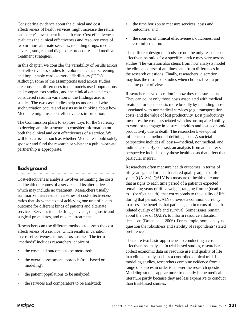Considering evidence about the clinical and cost effectiveness of health services might increase the return on society's investment in health care. Cost effectiveness evaluates the clinical effectiveness and resource costs of two or more alternate services, including drugs, medical devices, surgical and diagnostic procedures, and medical treatment strategies.

In this chapter, we consider the variability of results across cost-effectiveness studies for colorectal cancer screening and implantable cardioverter defibrillators (ICDs). Although some of the assumptions used across studies are consistent, differences in the models used, populations and comparators studied, and the clinical data and costs considered result in variation in the findings across studies. The two case studies help us understand why such variation occurs and assists us in thinking about how Medicare might use cost-effectiveness information.

The Commission plans to explore ways for the Secretary to develop an infrastructure to consider information on both the clinical and cost effectiveness of a service. We will look at issues such as whether Medicare should solely sponsor and fund the research or whether a public–private partnership is appropriate.

#### **Background**

Cost-effectiveness analysis involves estimating the costs and health outcomes of a service and its alternatives, which may include no treatment. Researchers usually summarize their results in a series of cost-effectiveness ratios that show the cost of achieving one unit of health outcome for different kinds of patients and alternate services. Services include drugs, devices, diagnostic and surgical procedures, and medical treatment.

Researchers can use different methods to assess the cost effectiveness of a service, which results in variation in cost-effectiveness ratios across studies. The term "methods" includes researchers' choice of:

- the costs and outcomes to be measured:
- the overall assessment approach (trial-based or modeling);
- the patient populations to be analyzed;
- the services and comparators to be analyzed;
- the time horizon to measure services' costs and outcomes; and
- the sources of clinical effectiveness, outcomes, and cost information.

The different design methods are not the only reason costeffectiveness ratios for a specific service may vary across studies. The variation also stems from how analysts model the clinical course of an illness and from differences in the research questions. Finally, researchers' discretion may bias the results of studies when choices favor a preexisting point of view.

Researchers have discretion in how they measure costs. They can count only those costs associated with medical treatment or define costs more broadly by including those associated with nonmedical services (e.g., transportation costs) and the value of lost productivity. Lost productivity measures the costs associated with lost or impaired ability to work or to engage in leisure activities and lost economic productivity due to death. The researcher's viewpoint influences the method of defining costs. A societal perspective includes all costs—medical, nonmedical, and indirect costs. By contrast, an analysis from an insurer's perspective includes only those health costs that affect that particular insurer.

Researchers often measure health outcomes in terms of life years gained or health-related quality-adjusted life years (QALYs). QALY is a measure of health outcome that assigns to each time period of a patient's expected remaining years of life a weight, ranging from 0 (death) to 1 (perfect health), that corresponds to the quality of life during that period. QALYs provide a common currency to assess the benefits that patients gain in terms of healthrelated quality of life and survival. Some issues remain about the use of QALYs to inform resource allocation decisions (Dolan et al. 2006). For example, some analysts question the robustness and stability of respondents' stated preferences.

There are two basic approaches to conducting a costeffectiveness analysis. In trial-based studies, researchers collect economic data on resource use and quality of life in a clinical study, such as a controlled clinical trial. In modeling studies, researchers combine evidence from a range of sources in order to answer the research question. Modeling studies appear more frequently in the medical literature partly because they are less expensive to conduct than trial-based studies.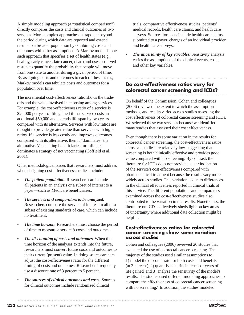A simple modeling approach (a "statistical comparison") directly compares the costs and clinical outcomes of two services. More complex approaches extrapolate beyond the period during which data are reported and extend results to a broader population by combining costs and outcomes with other assumptions. A Markov model is one such approach that specifies a set of health states (e.g., healthy, early cancer, late cancer, dead) and uses observed results to quantify the probability that people will move from one state to another during a given period of time. By assigning costs and outcomes to each of these states, Markov models can tabulate costs and outcomes for a population over time.

The incremental cost-effectiveness ratio shows the tradeoffs and the value involved in choosing among services. For example, the cost-effectiveness ratio of a service is \$25,000 per year of life gained if that service costs an additional \$50,000 and extends life span by two years compared with its alternative. Services with low ratios are thought to provide greater value than services with higher ratios. If a service is less costly and improves outcomes compared with its alternative, then it "dominates" the alternative. Vaccinating beneficiaries for influenza dominates a strategy of not vaccinating (Coffield et al.  $2001$ ).<sup>1</sup>

Other methodological issues that researchers must address when designing cost-effectiveness studies include:

- *The patient population.* Researchers can include all patients in an analysis or a subset of interest to a payer—such as Medicare beneficiaries.
- *The services and comparators to be analyzed.* Researchers compare the service of interest to all or a subset of existing standards of care, which can include no treatment.
- *The time horizon.* Researchers must choose the period of time to measure a service's costs and outcomes.
- *The discounting of costs and outcomes.* When the time horizon of the analyses extends into the future, researchers must convert future costs and outcomes to their current (present) value. In doing so, researchers adjust the cost-effectiveness ratio for the different timing of costs and outcomes. Researchers frequently use a discount rate of 3 percent to 5 percent.
- *The sources of clinical outcomes and costs.* Sources for clinical outcomes include randomized clinical

trials, comparative effectiveness studies, patients' medical records, health care claims, and health care surveys. Sources for costs include health care claims submitted to a payer, charges of an individual provider, and health care surveys.

• *The uncertainty of key variables.* Sensitivity analysis varies the assumptions of the clinical events, costs, and other key variables.

### **Do cost-effectiveness ratios vary for colorectal cancer screening and ICDs?**

On behalf of the Commission, Cohen and colleagues (2006) reviewed the extent to which the assumptions, methods, and results varied across studies assessing the cost effectiveness of colorectal cancer screening and ICDs. We selected these two services because we identified many studies that assessed their cost effectiveness.

Even though there is some variation in the results for colorectal cancer screening, the cost-effectiveness ratios across all studies are relatively low, suggesting that screening is both clinically effective and provides good value compared with no screening. By contrast, the literature for ICDs does not provide a clear indication of the service's cost effectiveness compared with pharmaceutical treatment because the results vary more widely across studies. This variation is due to differences in the clinical effectiveness reported in clinical trials of this service. The different populations and comparators examined across the cost-effectiveness studies also contributed to the variation in the results. Nonetheless, the literature on ICDs collectively sheds light on key areas of uncertainty where additional data collection might be helpful.

#### **Cost-effectiveness ratios for colorectal cancer screening show some variation across studies**

Cohen and colleagues (2006) reviewed 26 studies that evaluated the use of colorectal cancer screening. The majority of the studies used similar assumptions to 1) model the discount rate for both costs and benefits (at 3 percent), 2) quantify benefits in terms of years of life gained, and 3) analyze the sensitivity of the model's results. The studies used different modeling approaches to compare the effectiveness of colorectal cancer screening with no screening.<sup>2</sup> In addition, the studies modeled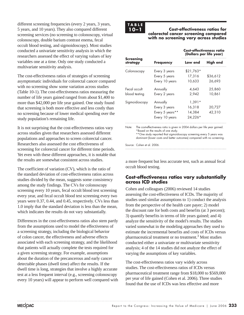different screening frequencies (every 2 years, 3 years, 5 years, and 10 years). They also compared different screening services (no screening to colonoscopy, virtual colonoscopy, double barium contrast enema, fecal occult blood testing, and sigmoidoscopy). Most studies conducted a univariate sensitivity analysis in which the researchers assessed the effect of varying values of key variables one at a time. Only one study conducted a multivariate sensitivity analysis.

The cost-effectiveness ratios of strategies of screening asymptomatic individuals for colorectal cancer compared with no screening show some variation across studies (Table 10-1). The cost-effectiveness ratios measuring the number of life years gained ranged from about \$1,400 to more than \$42,000 per life year gained. One study found that screening is both more effective and less costly than no screening because of lower medical spending over the study population's remaining life.

It is not surprising that the cost-effectiveness ratios vary across studies given that researchers assessed different populations and approaches to screen colorectal cancer. Researchers also assessed the cost effectiveness of screening for colorectal cancer for different time periods. Yet even with these different approaches, it is notable that the results are somewhat consistent across studies.

The coefficient of variation (CV), which is the ratio of the standard deviation of cost-effectiveness ratios across studies divided by the mean, suggests some consistency among the study findings. The CVs for colonoscopy screening every 10 years, fecal occult blood test screening every year, and fecal occult blood test screening every two years were 0.37, 0.44, and 0.45, respectively. CVs less than 1.0 imply that the standard deviation is less than the mean, which indicates the results do not vary substantially.

Differences in the cost-effectiveness ratios also stem partly from the assumptions used to model the effectiveness of a screening strategy, including the biological behavior of colon cancer, the effectiveness and adverse effects associated with each screening strategy, and the likelihood that patients will actually complete the tests required for a given screening strategy. For example, assumptions about the duration of the precancerous and early cancer detectable phases (dwell time) affect the results. If the dwell time is long, strategies that involve a highly accurate test at a less frequent interval (e.g., screening colonoscopy every 10 years) will appear to perform well compared with

## **TABLE**

#### **10–1 Cost-effectiveness ratios for colorectal cancer screening compared with no screening vary across studies**

|                              |                                                                                                                                                                                                                                                                      |                  | <b>Cost-effectiveness ratio</b><br>(Dollars per life year) |          |
|------------------------------|----------------------------------------------------------------------------------------------------------------------------------------------------------------------------------------------------------------------------------------------------------------------|------------------|------------------------------------------------------------|----------|
| <b>Screening</b><br>strategy |                                                                                                                                                                                                                                                                      | <b>Frequency</b> | Low end                                                    | High end |
| Colonoscopy                  |                                                                                                                                                                                                                                                                      | Every 3 years    | \$21,763*                                                  |          |
|                              |                                                                                                                                                                                                                                                                      | Every 5 years    | 17,316                                                     | \$36,612 |
|                              |                                                                                                                                                                                                                                                                      | Every 10 years   | 10,633                                                     | 26,693   |
| Fecal occult                 |                                                                                                                                                                                                                                                                      | Annually         | 4,643                                                      | 25,860   |
| blood testing                |                                                                                                                                                                                                                                                                      | Every 2 years    | 2,942                                                      | 10,861   |
| Sigmoidoscopy                |                                                                                                                                                                                                                                                                      | Annually         | $1,391*$                                                   |          |
|                              |                                                                                                                                                                                                                                                                      | Every 3 years    | 16,318                                                     | 20,727   |
|                              |                                                                                                                                                                                                                                                                      | Every 5 years**  | 14,384                                                     | 42,310   |
|                              |                                                                                                                                                                                                                                                                      | Every 10 years   | 24,226*                                                    |          |
| Note:                        | The cost-effectiveness ratio is given in 2004 dollars per life year gained.<br>*Based on the results of one study.<br>** One study reported that sigmoidoscopy screening every 5 years was<br>dominant (lower costs and better outcomes) compared with no screening. |                  |                                                            |          |

Source: Cohen et al. 2006.

a more frequent but less accurate test, such as annual fecal occult blood testing.

#### **Cost-effectiveness ratios vary substantially across ICD studies**

Cohen and colleagues (2006) reviewed 14 studies assessing the cost-effectiveness of ICDs. The majority of studies used similar assumptions to 1) conduct the analysis from the perspective of the health care payer; 2) model the discount rate for both costs and benefits (at 3 percent); 3) quantify benefits in terms of life years gained; and 4) analyze the sensitivity of the model's results. The studies varied somewhat in the modeling approaches they used to estimate the incremental benefits and costs of ICDs versus pharmaceutical treatment or no treatment.<sup>3</sup> Most studies conducted either a univariate or multivariate sensitivity analysis; 4 of the 14 studies did not analyze the effect of varying the assumptions of key variables.

The cost-effectiveness ratios vary widely across studies. The cost-effectiveness ratios of ICDs versus pharmaceutical treatment range from \$18,000 to \$569,000 per year of life gained (Cohen et al. 2006). Three studies found that the use of ICDs was less effective and more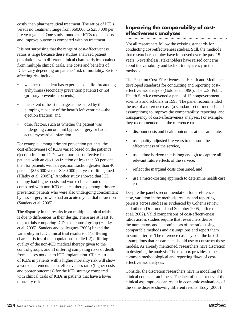costly than pharmaceutical treatment. The ratios of ICDs versus no treatment range from \$60,000 to \$258,000 per life year gained. One study found that ICDs reduce costs and improve outcomes compared with no treatment.

It is not surprising that the range of cost-effectiveness ratios is large because these studies analyzed patient populations with different clinical characteristics obtained from multiple clinical trials. The costs and benefits of ICDs vary depending on patients' risk of mortality. Factors affecting risk include:

- whether the patient has experienced a life-threatening arrhythmia (secondary prevention patients) or not (primary prevention patients);
- the extent of heart damage as measured by the pumping capacity of the heart's left ventricle—the ejection fraction; and
- other factors, such as whether the patient was undergoing concomitant bypass surgery or had an acute myocardial infarction.

For example, among primary prevention patients, the cost effectiveness of ICDs varied based on the patient's ejection fraction. ICDs were more cost effective for patients with an ejection fraction of less than 30 percent than for patients with an ejection fraction greater than 40 percent (\$53,000 versus \$230,000 per year of life gained (Hlatky et al.  $2005$ )).<sup>4</sup> Another study showed that ICD therapy had higher costs and worse clinical outcomes compared with non-ICD medical therapy among primary prevention patients who were also undergoing concomitant bypass surgery or who had an acute myocardial infarction (Sanders et al. 2005).

The disparity in the results from multiple clinical trials is due to differences in their design. There are at least 10 major trials comparing ICDs to a control group (Hlatky et al. 2005). Sanders and colleagues (2005) linked the variability in ICD clinical trial results to: 1) differing characteristics of the populations studied, 2) differing quality of the non-ICD medical therapy given to the control groups, and 3) differing competing risks of death from causes not due to ICD implantation. Clinical trials of ICDs in patients with a higher mortality risk will show a worse incremental cost-effectiveness ratio (higher costs and poorer outcomes) for the ICD strategy compared with clinical trials of ICDs in patients that have a lower mortality risk.

#### **Improving the comparability of costeffectiveness analyses**

Not all researchers follow the existing standards for conducting cost-effectiveness studies. Still, the methods that researchers employ have improved over the past 15 years. Nevertheless, stakeholders have raised concerns about the variability and lack of transparency in the methods.

The Panel on Cost-Effectiveness in Health and Medicine developed standards for conducting and reporting costeffectiveness analysis (Gold et al. 1996). The U.S. Public Health Service convened a panel of 13 nongovernment scientists and scholars in 1993. The panel recommended the use of a reference case (a standard set of methods and assumptions) to improve the comparability, reporting, and transparency of cost-effectiveness analyses. For example, they recommended that the reference case:

- discount costs and health outcomes at the same rate,
- use quality-adjusted life years to measure the effectiveness of the service,
- use a time horizon that is long enough to capture all relevant future effects of the service,
- reflect the marginal costs consumed, and
- use a micro-costing approach to determine health care costs.

Despite the panel's recommendation for a reference case, variation in the methods, results, and reporting persists across studies as evidenced by Cohen's review and others (Drummond and Sculpher 2005, Jefferson et al. 2002). Valid comparisons of cost-effectiveness ratios across studies require that researchers derive the numerators and denominators of the ratios using comparable methods and assumptions and report them in similar terms. The reference case lays out the broad assumptions that researchers should use to construct these models. As already mentioned, researchers have discretion in designing the analysis. The text box provides some common methodological and reporting flaws of costeffectiveness analyses.

Consider the discretion researchers have in modeling the clinical course of an illness. The lack of consistency of the clinical assumptions can result in economic evaluations of the same disease showing different results. Eddy (2005)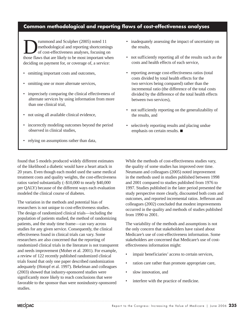#### **Common methodological and reporting flaws of cost-effectiveness analyses**

Fummond and Sculpher (2005) noted 11<br>
of cost-effectiveness analyses, focusing cost<br>
of cost-effectiveness analyses, focusing cost<br>
of the most important with methodological and reporting shortcomings of cost-effectiveness analyses, focusing on those flaws that are likely to be most important when deciding on payment for, or coverage of, a service:

- omitting important costs and outcomes,
- omitting one or more alternate services,
- imprecisely comparing the clinical effectiveness of alternate services by using information from more than one clinical trial,
- not using all available clinical evidence,
- incorrectly modeling outcomes beyond the period observed in clinical studies,
- relying on assumptions rather than data,
- inadequately assessing the impact of uncertainty on the results,
- not sufficiently reporting all of the results such as the costs and health effects of each service,
- reporting average cost-effectiveness ratios (total costs divided by total health effects for the two services being compared) rather than the incremental ratio (the difference of the total costs divided by the difference of the total health effects between two services),
- not sufficiently reporting on the generalizability of the results, and
- selectively reporting results and placing undue emphasis on certain results.  $\blacksquare$

found that 5 models produced widely different estimates of the likelihood a diabetic would have a heart attack in 20 years. Even though each model used the same medical treatment costs and quality weights, the cost-effectiveness ratios varied substantially (–\$10,000 to nearly \$40,000 per QALY) because of the different ways each evaluation modeled the clinical course of diabetes.

The variation in the methods and potential bias of researchers is not unique to cost-effectiveness studies. The design of randomized clinical trials—including the population of patients studied, the method of randomizing patients, and the study time frame—can vary across studies for any given service. Consequently, the clinical effectiveness found in clinical trials can vary. Some researchers are also concerned that the reporting of randomized clinical trials in the literature is not transparent and needs improvement (Moher et al. 2001). For example, a review of 122 recently published randomized clinical trials found that only one paper described randomization adequately (Hotopf et al. 1997). Bekelman and colleagues (2003) showed that industry-sponsored studies were significantly more likely to reach conclusions that were favorable to the sponsor than were nonindustry-sponsored studies.

While the methods of cost-effectiveness studies vary, the quality of some studies has improved over time. Neumann and colleagues (2005) noted improvement in the methods used in studies published between 1998 and 2001 compared to studies published from 1976 to 1997. Studies published in the later period presented the study perspective more clearly, discounted both costs and outcomes, and reported incremental ratios. Jefferson and colleagues (2002) concluded that modest improvements occurred in the quality and methods of studies published from 1990 to 2001.

The variability of the methods and assumptions is not the only concern that stakeholders have raised about Medicare's use of cost-effectiveness information. Some stakeholders are concerned that Medicare's use of costeffectiveness information might:

- impair beneficiaries' access to certain services,
- ration care rather than promote appropriate care,
- slow innovation, and
- interfere with the practice of medicine.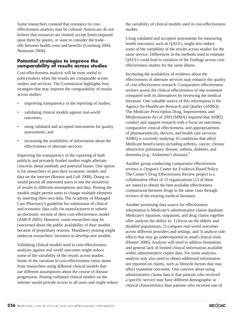Some researchers contend that resistance to costeffectiveness analysis may be cultural: Americans do not believe that resources are limited, accept limits imposed upon them by payers, or want to consider the tradeoffs between health costs and benefits (Ginsburg 2004, Neumann 2004).

#### **Potential strategies to improve the comparability of results across studies**

Cost-effectiveness analysis will be most useful to policymakers when the results are comparable across studies and services. The Commission highlights four strategies that may improve the comparability of results across studies:

- improving transparency in the reporting of studies,
- validating clinical models against real-world outcomes,
- using validated and accepted instruments for quality assessments, and
- increasing the availability of information about the effectiveness of alternate services.

Improving the transparency in the reporting of both publicly and privately funded studies might alleviate concerns about methods and potential biases. One option is for researchers to post their economic models and data on the internet (Rennie and Luft 2000). Doing so would permit all interested users to test the sensitivity of results to different assumptions and data. Posting the models might permit users to change multiple elements by inserting their own data. The Academy of Managed Care Pharmacy's guideline for submission of clinical and economic data calls for manufacturers to submit an electronic version of their cost-effectiveness model (AMCP 2005). However, some researchers may be concerned about the public availability of their models because of proprietary reasons. Mandatory posting might undercut researchers' incentive to develop new models.

Validating clinical models used in cost-effectiveness analyses against real world outcomes might reduce some of the variability of the results across studies. Some of the variation in cost-effectiveness ratios stems from researchers using different clinical models that use different assumptions about the course of disease progression. Posting validated clinical models on the internet would provide access to all users and might reduce

the variability of clinical models used in cost-effectiveness studies.

Using validated and accepted instruments for measuring health outcomes, such as QALYs, might also reduce some of the variability of the results across studies for the same service. Differences in the methods used to estimate QALYs could lead to variation of the findings across costeffectiveness studies for the same illness.

Increasing the availability of evidence about the effectiveness of alternate services may enhance the quality of cost-effectiveness research. Comparative effectiveness reviews assess the clinical effectiveness of one treatment compared with its alternatives by reviewing the medical literature. One valuable source of this information is the Agency for Healthcare Research and Quality (AHRQ). The Medicare Prescription Drug, Improvement, and Modernization Act of 2003 (MMA) required that AHRQ conduct and support research with a focus on outcomes, comparative clinical effectiveness, and appropriateness of pharmaceuticals, devices, and health care services. AHRQ is currently studying 10 conditions that affect Medicare beneficiaries including arthritis, cancer, chronic obstructive pulmonary disease, asthma, diabetes, and dementia (e.g., Alzheimer's disease).5

Another group conducting comparative effectiveness reviews is Oregon's Center for Evidence-Based Policy. The Center's Drug Effectiveness Review project is a collaborative effort of 15 organizations (13 of them are states) to obtain the best available effectiveness comparisons between drugs in the same class through reviews of the existing medical literature.

Another promising data source for effectiveness information is Medicare's administrative claims database. Medicare's inpatient, outpatient, and drug claims together offer analysts the ability to: 1) focus on the elderly and disabled populations, 2) compare real-world outcomes across different providers and settings, and 3) analyze side effects that may go underreported in small clinical trials (Hunter 2006). Analysts will need to address limitations and general lack of limited clinical information available within administrative claims data. For some analyses, analysts may also need to obtain additional information not reported on claims, such as lifestyle factors that may affect treatment outcomes. One concern about using administrative claims data is that patients who received a specific service may have different demographic or clinical characteristics than patients who received one of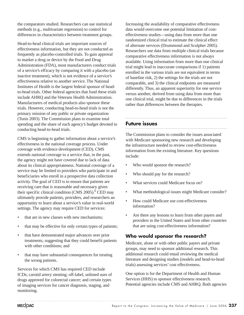the comparators studied. Researchers can use statistical methods (e.g., multivariate regression) to control for differences in characteristics between treatment groups.

Head-to-head clinical trials are important sources of effectiveness information, but they are not conducted as frequently as placebo-controlled trials. To gain approval to market a drug or device by the Food and Drug Administration (FDA), most manufacturers conduct trials of a service's efficacy by comparing it with a placebo (an inactive treatment), which is not evidence of a service's effectiveness relative to another service. The National Institutes of Health is the largest federal sponsor of headto-head trials. Other federal agencies that fund these trials include AHRQ and the Veterans Health Administration. Manufacturers of medical products also sponsor these trials. However, conducting head-to-head trials is not the primary mission of any public or private organization (Tunis 2003). The Commission plans to examine total spending and the share of each agency's budget devoted to conducting head-to-head trials.

CMS is beginning to gather information about a service's effectiveness in the national coverage process. Under coverage with evidence development (CED), CMS extends national coverage to a service that, in the past, the agency might not have covered due to lack of data about its clinical appropriateness. National coverage of a service may be limited to providers who participate in and beneficiaries who enroll in a prospective data collection activity. The goal of CED is to ensure that patients are receiving care that is reasonable and necessary given their specific clinical condition (CMS 2005).<sup>6</sup> CED may ultimately provide patients, providers, and researchers an opportunity to learn about a service's value in real-world settings. The agency may require CED for services:

- that are in new classes with new mechanisms:
- that may be effective for only certain types of patients;
- that have demonstrated major advances over prior treatments, suggesting that they could benefit patients with other conditions; and
- that may have substantial consequences for treating the wrong patients.

Services for which CMS has required CED include ICDs; carotid artery stenting; off-label, unlisted uses of drugs approved for colorectal cancer; and certain types of imaging services for cancer diagnosis, staging, and monitoring.

Increasing the availability of comparative effectiveness data would overcome one potential limitation of costeffectiveness studies—using data from more than one randomized clinical trial to estimate the clinical effect of alternate services (Drummond and Sculpher 2005). Researchers use data from multiple clinical trials because comparative effectiveness information is not always available. Using information from more than one clinical trial might lead to inaccurate comparisons if 1) patients enrolled in the various trials are not equivalent in terms of baseline risk, 2) the settings for the trials are not comparable, and 3) the clinical endpoints are measured differently. Thus, an apparent superiority for one service versus another, derived from using data from more than one clinical trial, might be due to differences in the trials rather than differences between the therapies.

#### **Future issues**

The Commission plans to consider the issues associated with Medicare sponsoring new research and developing the infrastructure needed to review cost-effectiveness information from the existing literature. Key questions include:

- Who would sponsor the research?
- Who should pay for the research?
- What services could Medicare focus on?
- What methodological issues might Medicare consider?
- How could Medicare use cost-effectiveness information?
- Are there any lessons to learn from other payers and providers in the United States and from other countries that are using cost-effectiveness information?

#### **Who would sponsor the research?**

Medicare, alone or with other public payers and private groups, may need to sponsor additional research. This additional research could entail reviewing the medical literature and designing studies (models and head-to-head trials) assessing services' cost effectiveness.

One option is for the Department of Health and Human Services (HHS) to sponsor effectiveness research. Potential agencies include CMS and AHRQ. Both agencies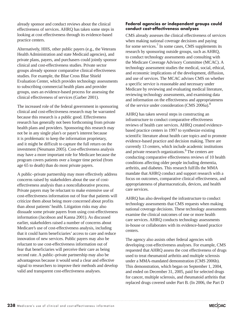already sponsor and conduct reviews about the clinical effectiveness of services. AHRQ has taken some steps in looking at cost effectiveness through its evidence-based practice centers.

Alternatively, HHS, other public payers (e.g., the Veterans Health Administration and state Medicaid agencies), and private plans, payers, and purchasers could jointly sponsor clinical and cost-effectiveness studies. Private sector groups already sponsor comparative clinical effectiveness studies. For example, the Blue Cross Blue Shield Evaluation Center, which provides technology assessments to subscribing commercial health plans and provider groups, uses an evidence-based process for assessing the clinical effectiveness of services (Garber 2001).

The increased role of the federal government in sponsoring clinical and cost-effectiveness research may be warranted because this research is a public good. Effectiveness research has generally not been forthcoming from private health plans and providers. Sponsoring this research may not be in any single plan's or payer's interest because it is problematic to keep the information proprietary, and it might be difficult to capture the full return on the investment (Neumann 2005). Cost-effectiveness analysis may have a more important role for Medicare because the program covers patients over a longer time period (from age 65 to death) than do most private payers.

A public–private partnership may more effectively address concerns raised by stakeholders about the use of costeffectiveness analysis than a noncollaborative process. Private payers may be reluctant to make extensive use of cost-effectiveness information out of fear that patients will criticize them about being more concerned about profits than about patients' health. Litigation risks may also dissuade some private payers from using cost-effectiveness information (Jacobson and Kanna 2001). As discussed earlier, stakeholders raised a number of concerns about Medicare's use of cost-effectiveness analysis, including that it could harm beneficiaries' access to care and reduce innovation of new services. Public payers may also be reluctant to use cost-effectiveness information out of fear that beneficiaries will perceive their care as being second rate. A public–private partnership may also be advantageous because it would send a clear and effective signal to researchers to improve their methods and develop valid and transparent cost-effectiveness analyses.

#### **Federal agencies or independent groups could conduct cost-effectiveness analyses**

CMS already assesses the clinical effectiveness of services when making national coverage decisions and paying for some services.<sup>7</sup> In some cases, CMS supplements its research by sponsoring outside groups, such as AHRQ, to conduct technology assessments and consulting with the Medicare Coverage Advisory Committee (MCAC). A technology assessment studies the medical, social, ethical, and economic implications of the development, diffusion, and use of services. The MCAC advises CMS on whether a specific service is reasonable and necessary under Medicare by reviewing and evaluating medical literature, reviewing technology assessments, and examining data and information on the effectiveness and appropriateness of the service under consideration (CMS 2006a).8

AHRQ has taken several steps in constructing an infrastructure to conduct comparative effectiveness reviews of health care services. AHRQ created evidencebased practice centers in 1997 to synthesize existing scientific literature about health care topics and to promote evidence-based practice and decision making. There are currently 13 centers, which include academic institutions and private research organizations.<sup>9</sup> The centers are conducting comparative effectiveness reviews of 10 health conditions affecting older people including dementia, arthritis, and diabetes. This research fulfills the MMA mandate that AHRQ conduct and support research with a focus on outcomes, comparative clinical effectiveness, and appropriateness of pharmaceuticals, devices, and health care services.

AHRQ has also developed the infrastructure to conduct technology assessments that CMS requests when making national coverage decisions. These technology assessments examine the clinical outcomes of one or more health care services. AHRQ conducts technology assessments in-house or collaborates with its evidence-based practice centers.

The agency also assists other federal agencies with developing cost-effectiveness analyses. For example, CMS requested that AHRQ assess the cost effectiveness of drugs used to treat rheumatoid arthritis and multiple sclerosis under a MMA-mandated demonstration (CMS 2006b). This demonstration, which began on September 1, 2004, and ended on December 31, 2005, paid for selected drugs for cancer, multiple sclerosis, and rheumatoid arthritis that replaced drugs covered under Part B. (In 2006, the Part D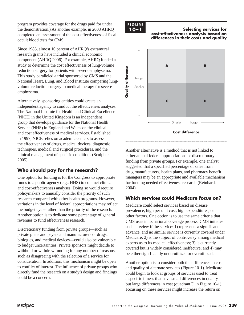program provides coverage for the drugs paid for under the demonstration.) As another example, in 2003 AHRQ completed an assessment of the cost effectiveness of fecal occult blood tests for CMS.

Since 1985, almost 10 percent of AHRQ's extramural research grants have included a clinical economic component (AHRQ 2006). For example, AHRQ funded a study to determine the cost effectiveness of lung-volume reduction surgery for patients with severe emphysema. This study paralleled a trial sponsored by CMS and the National Heart, Lung, and Blood Institute comparing lungvolume reduction surgery to medical therapy for severe emphysema.

Alternatively, sponsoring entities could create an independent agency to conduct the effectiveness analyses. The National Institute for Health and Clinical Excellence (NICE) in the United Kingdom is an independent group that develops guidance for the National Health Service (NHS) in England and Wales on the clinical and cost effectiveness of medical services. Established in 1997, NICE relies on academic centers to assess the effectiveness of drugs, medical devices, diagnostic techniques, medical and surgical procedures, and the clinical management of specific conditions (Sculpher 2005).

#### **Who should pay for the research?**

One option for funding is for the Congress to appropriate funds to a public agency (e.g., HHS) to conduct clinical and cost-effectiveness analyses. Doing so would require policymakers to annually consider the priority of such research compared with other health programs. However, variations in the level of federal appropriations may reflect the budget cycle rather than the priority of the research. Another option is to dedicate some percentage of general revenues to fund effectiveness research.

Discretionary funding from private groups—such as private plans and payers and manufacturers of drugs, biologics, and medical devices—could also be vulnerable to budget uncertainties. Private sponsors might decide to withhold or withdraw funding for any number of reasons, such as disagreeing with the selection of a service for consideration. In addition, this mechanism might be open to conflict of interest. The influence of private groups who directly fund the research on a study's design and findings could be a concern.

## **FIGURE**

#### **Selecting services for cost-effectiveness analysis based on differences in their costs and quality**



**Cost difference**

Another alternative is a method that is not linked to either annual federal appropriations or discretionary funding from private groups. For example, one analyst suggested that a specified percentage of sales from drug manufacturers, health plans, and pharmacy benefit managers may be an appropriate and available mechanism for funding needed effectiveness research (Reinhardt 2004).

#### **Which services could Medicare focus on?**

Medicare could select services based on disease prevalence, high per unit cost, high expenditures, or other factors. One option is to use the same criteria that CMS uses in its national coverage process. CMS initiates such a review if the service: 1) represents a significant advance, and no similar service is currently covered under Medicare; 2) is the subject of controversy among medical experts as to its medical effectiveness; 3) is currently covered but is widely considered ineffective; and 4) may be either significantly underutilized or overutilized.

Another option is to consider both the differences in cost and quality of alternate services (Figure 10-1). Medicare could begin to look at groups of services used to treat a specific illness that have small differences in quality but large differences in cost (quadrant D in Figure 10-1). Focusing on these services might increase the return on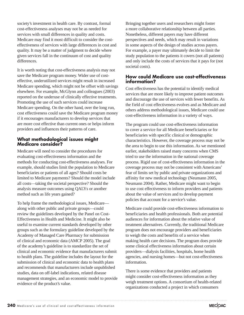society's investment in health care. By contrast, formal cost-effectiveness analyses may not be as needed for services with small differences in quality and costs. Medicare may find it most difficult to consider the costeffectiveness of services with large differences in cost and quality. It may be a matter of judgment to decide where given services fall in the continuum of cost and quality differences.

It is worth noting that cost-effectiveness analysis may not save the Medicare program money. Wider use of costeffective, underutilized services might result in increased Medicare spending, which might not be offset with savings elsewhere. For example, McGlynn and colleagues (2003) reported on the underuse of clinically effective treatments. Promoting the use of such services could increase Medicare spending. On the other hand, over the long run, cost effectiveness could save the Medicare program money if it encourages manufacturers to develop services that are more cost effective than current ones or helps inform providers and influences their patterns of care.

#### **What methodological issues might Medicare consider?**

Medicare will need to consider the procedures for evaluating cost-effectiveness information and the methods for conducting cost-effectiveness analyses. For example, should studies limit the population to Medicare beneficiaries or patients of all ages? Should costs be limited to Medicare payments? Should the model include all costs—taking the societal perspective? Should the analysis measure outcomes using QALYs or another method such as life years gained?

To help frame the methodological issues, Medicare along with other public and private groups—could review the guidelines developed by the Panel on Cost-Effectiveness in Health and Medicine. It might also be useful to examine current standards developed by other groups such as the formulary guideline developed by the Academy of Managed Care Pharmacy for submission of clinical and economic data (AMCP 2005). The goal of the academy's guideline is to standardize the set of clinical and economic evidence that manufacturers submit to health plans. The guideline includes the layout for the submission of clinical and economic data to health plans and recommends that manufacturers include unpublished studies, data on off-label indications, related disease management strategies, and an economic model to provide evidence of the product's value.

Bringing together users and researchers might foster a more collaborative relationship between all parties. Nonetheless, different payers may have different perspectives and needs, which may result in variations in some aspects of the design of studies across payers. For example, a payer may ultimately decide to limit the study population to the patients it covers (not all patients) and only include the costs of services that it pays for (not societal costs).

#### **How could Medicare use cost-effectiveness information?**

Cost effectiveness has the potential to identify medical services that are more likely to improve patient outcomes and discourage the use of services with fewer benefits. As the field of cost effectiveness evolves and as Medicare and others address methodological issues, Medicare could use cost-effectiveness information in a variety of ways.

The program could use cost-effectiveness information to cover a service for all Medicare beneficiaries or for beneficiaries with specific clinical or demographic characteristics. However, the coverage process may not be the area to begin to use this information. As we mentioned earlier, stakeholders raised many concerns when CMS tried to use the information in the national coverage process. Rigid use of cost-effectiveness information in the coverage process may not be consistent with Americans' fear of limits set by public and private organizations and affinity for new medical technology (Neumann 2005, Neumann 2004). Rather, Medicare might want to begin to use cost effectiveness to inform providers and patients about the value of services and to develop payment policies that account for a service's value.

Medicare could provide cost-effectiveness information to beneficiaries and health professionals. Both are potential audiences for information about the relative value of treatment alternatives. Currently, the traditional Medicare program does not encourage providers and beneficiaries to weigh the costs and benefits of a service when making health care decisions. The program does provide some clinical effectiveness information about certain providers—dialysis facilities, hospitals, home health agencies, and nursing homes—but not cost-effectiveness information.

There is some evidence that providers and patients might consider cost-effectiveness information as they weigh treatment options. A consortium of health-related organizations conducted a project in which consumers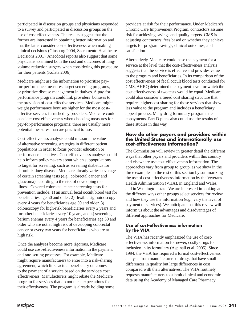participated in discussion groups and physicians responded to a survey and participated in discussion groups on the use of cost effectiveness. The results suggest that the former are interested in obtaining better information and that the latter consider cost effectiveness when making clinical decisions (Ginsburg 2004, Sacramento Healthcare Decisions 2001). Anecdotal reports also suggest that some physicians examined both the cost and outcomes of lungvolume reduction surgery when considering this procedure for their patients (Kolata 2006).

Medicare might use the information to prioritize payfor-performance measures, target screening programs, or prioritize disease management initiatives. A pay-forperformance program could link providers' bonuses to the provision of cost-effective services. Medicare might weight performance bonuses higher for the most costeffective services furnished by providers. Medicare could consider cost effectiveness when choosing measures for pay-for-performance programs; there are usually more potential measures than are practical to use.

Cost-effectiveness analysis could measure the value of alternative screening strategies in different patient populations in order to focus provider education or performance incentives. Cost-effectiveness analyses could help inform policymakers about which subpopulations to target for screening, such as screening diabetics for chronic kidney disease. Medicare already varies coverage of certain screening tests (e.g., colorectal cancer and glaucoma) according to the risk of developing the illness. Covered colorectal cancer screening tests for prevention include: 1) an annual fecal occult blood test for beneficiaries age 50 and older, 2) flexible sigmoidoscopy every 4 years for beneficiaries age 50 and older, 3) colonoscopy for high-risk beneficiaries every 2 years and for other beneficiaries every 10 years, and 4) screening barium enemas every 4 years for beneficiaries age 50 and older who are not at high risk of developing colorectal cancer or every two years for beneficiaries who are at high risk.

Once the analyses become more rigorous, Medicare could use cost-effectiveness information in the payment and rate-setting processes. For example, Medicare might require manufacturers to enter into a risk-sharing agreement, which links actual beneficiary outcomes to the payment of a service based on the service's cost effectiveness. Manufacturers might rebate the Medicare program for services that do not meet expectations for their effectiveness. The program is already holding some

providers at risk for their performance. Under Medicare's Chronic Care Improvement Program, contractors assume risk for achieving savings and quality targets. CMS is adjusting contractors' fees based on whether they achieve targets for program savings, clinical outcomes, and satisfaction.

Alternatively, Medicare could base the payment for a service at the level that the cost-effectiveness analysis suggests that the service is effective and provides value to the program and beneficiaries. In its comparison of the cost effectiveness of fecal occult blood tests conducted for CMS, AHRQ determined the payment level for which the cost effectiveness of two tests would be equal. Medicare could also consider a tiered cost sharing structure that requires higher cost sharing for those services that show less value to the program and includes a beneficiary appeal process. Many drug formulary programs tier copayments. Part D plans also could use the results of these studies in this way.

#### **How do other payers and providers within the United States and internationally use cost-effectiveness information?**

The Commission will review in greater detail the different ways that other payers and providers within this country and elsewhere use cost-effectiveness information. The approaches vary from group to group, as we show in the three examples in the rest of this section by summarizing the use of cost-effectiveness information by the Veterans Health Administration (VHA), in England and Wales, and in Washington state. We are interested in looking at the different ways other groups select services for review and how they use the information (e.g., vary the level of payment of services). We anticipate that this review will inform us about the advantages and disadvantages of different approaches for Medicare.

#### **Use of cost-effectiveness information by the VHA**

The VHA has recently emphasized the use of costeffectiveness information for newer, costly drugs for inclusion in its formulary (Aspinall et al. 2005). Since 1994, the VHA has required a formal cost-effectiveness analysis from manufacturers of drugs that have small differences in quality but large differences in cost compared with their alternatives. The VHA routinely requests manufacturers to submit clinical and economic data using the Academy of Managed Care Pharmacy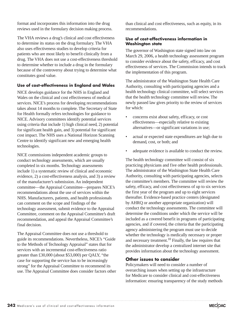format and incorporates this information into the drug reviews used in the formulary decision making process.

The VHA reviews a drug's clinical and cost effectiveness to determine its status on the drug formulary. The VHA also uses effectiveness studies to develop criteria for patients who are most likely to benefit clinically from a drug. The VHA does not use a cost-effectiveness threshold to determine whether to include a drug in the formulary because of the controversy about trying to determine what constitutes good value.

#### **Use of cost-effectiveness in England and Wales**

NICE develops guidance for the NHS in England and Wales on the clinical and cost effectiveness of medical services. NICE's process for developing recommendations takes about 14 months to complete. The Secretary of State for Health formally refers technologies for guidance to NICE. Advisory committees identify potential services using criteria that include 1) high clinical need, 2) potential for significant health gain, and 3) potential for significant cost impact. The NHS uses a National Horizon Scanning Centre to identify significant new and emerging health technologies.

NICE commissions independent academic groups to conduct technology assessments, which are usually completed in six months. Technology assessments include 1) a systematic review of clinical and economic evidence, 2) a cost-effectiveness analysis, and 3) a review of the manufacturer's submission. An independent committee—the Appraisal Committee—prepares NICE's recommendations about the use of services within the NHS. Manufacturers, patients, and health professionals can comment on the scope and findings of the technology assessment, submit evidence to the Appraisal Committee, comment on the Appraisal Committee's draft recommendation, and appeal the Appraisal Committee's final decision.

The Appraisal Committee does not use a threshold to guide its recommendations. Nevertheless, NICE's "Guide to the Methods of Technology Appraisal" states that for services with an incremental cost-effectiveness ratio greater than £30,000 (about \$53,000) per QALY, "the case for supporting the service has to be increasingly strong" for the Appraisal Committee to recommend its use. The Appraisal Committee does consider factors other

than clinical and cost effectiveness, such as equity, in its recommendations.

#### **Use of cost-effectiveness information in Washington state**

The governor of Washington state signed into law on March 29, 2006, a health technology assessment program to consider evidence about the safety, efficacy, and cost effectiveness of services. The Commission intends to track the implementation of this program.

The administrator of the Washington State Health Care Authority, consulting with participating agencies and a health technology clinical committee, will select services that the health technology committee will review. The newly passed law gives priority to the review of services for which:

- concerns exist about safety, efficacy, or cost effectiveness—especially relative to existing alternatives—or significant variations in use;
- actual or expected state expenditures are high due to demand, cost, or both; and
- adequate evidence is available to conduct the review.

The health technology committee will consist of six practicing physicians and five other health professionals. The administrator of the Washington State Health Care Authority, consulting with participating agencies, selects the committee's members. The committee will review the safety, efficacy, and cost effectiveness of up to six services the first year of the program and up to eight services thereafter. Evidence-based practice centers (designated by AHRQ or another appropriate organization) will conduct the technology assessments. The committee will determine the conditions under which the service will be included as a covered benefit in programs of participating agencies, and if covered, the criteria that the participating agency administering the program must use to decide whether the technology is medically necessary or proper and necessary treatment.<sup>10</sup> Finally, the law requires that the administrator develop a centralized internet site that provides information about the technology assessment.

#### **Other issues to consider**

Policymakers will need to consider a number of overarching issues when setting up the infrastructure for Medicare to consider clinical and cost-effectiveness information: ensuring transparency of the study methods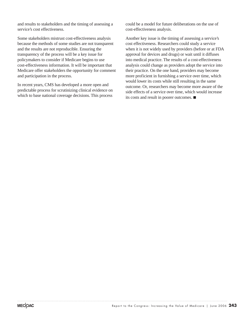and results to stakeholders and the timing of assessing a service's cost effectiveness.

Some stakeholders mistrust cost-effectiveness analysis because the methods of some studies are not transparent and the results are not reproducible. Ensuring the transparency of the process will be a key issue for policymakers to consider if Medicare begins to use cost-effectiveness information. It will be important that Medicare offer stakeholders the opportunity for comment and participation in the process.

In recent years, CMS has developed a more open and predictable process for scrutinizing clinical evidence on which to base national coverage decisions. This process

could be a model for future deliberations on the use of cost-effectiveness analysis.

Another key issue is the timing of assessing a service's cost effectiveness. Researchers could study a service when it is not widely used by providers (before or at FDA approval for devices and drugs) or wait until it diffuses into medical practice. The results of a cost-effectiveness analysis could change as providers adopt the service into their practice. On the one hand, providers may become more proficient in furnishing a service over time, which would lower its costs while still resulting in the same outcome. Or, researchers may become more aware of the side effects of a service over time, which would increase its costs and result in poorer outcomes.  $\blacksquare$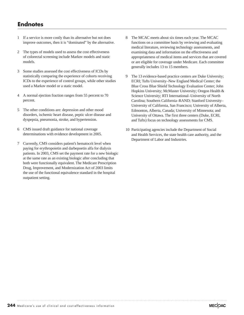#### **Endnotes**

- 1 If a service is more costly than its alternative but not does improve outcomes, then it is "dominated" by the alternative.
- 2 The types of models used to assess the cost effectiveness of colorectal screening include Markov models and static models.
- 3 Some studies assessed the cost effectiveness of ICDs by statistically comparing the experience of cohorts receiving ICDs to the experience of control groups, while other studies used a Markov model or a static model.
- 4 A normal ejection fraction ranges from 55 percent to 70 percent.
- 5 The other conditions are: depression and other mood disorders, ischemic heart disease, peptic ulcer disease and dyspepsia, pneumonia, stroke, and hypertension.
- 6 CMS issued draft guidance for national coverage determinations with evidence development in 2005.
- 7 Currently, CMS considers patient's hematocrit level when paying for erythropoietin and darbepoetin alfa for dialysis patients. In 2003, CMS set the payment rate for a new biologic at the same rate as an existing biologic after concluding that both were functionally equivalent. The Medicare Prescription Drug, Improvement, and Modernization Act of 2003 limits the use of the functional equivalence standard in the hospital outpatient setting.
- 8 The MCAC meets about six times each year. The MCAC functions on a committee basis by reviewing and evaluating medical literature, reviewing technology assessments, and examining data and information on the effectiveness and appropriateness of medical items and services that are covered or are eligible for coverage under Medicare. Each committee generally includes 13 to 15 members.
- 9 The 13 evidence-based practice centers are Duke University; ECRI; Tufts University–New England Medical Center; the Blue Cross Blue Shield Technology Evaluation Center; John Hopkins University; McMaster University; Oregon Health & Science University; RTI International–University of North Carolina; Southern California–RAND; Stanford University– University of California, San Francisco; University of Alberta, Edmonton, Alberta, Canada; University of Minnesota; and University of Ottawa. The first three centers (Duke, ECRI, and Tufts) focus on technology assessments for CMS.
- 10 Participating agencies include the Department of Social and Health Services, the state health care authority, and the Department of Labor and Industries.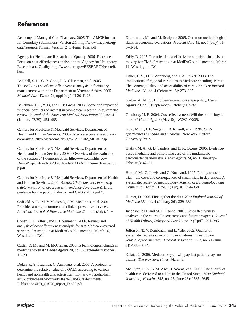Academy of Managed Care Pharmacy. 2005. The AMCP format for formulary submissions. Version 2.1. http://www.fmcpnet.org/ data/resource/Format~Version\_2\_1~Final\_Final.pdf.

Agency for Healthcare Research and Quality. 2006. Fact sheet. Focus on cost-effectiveness analysis at the Agency for Healthcare Research and Quality. http://www.ahrq.gov/RESEARCH/costeff. htm.

Aspinall, S. L., C. B. Good, P. A. Glassman, et al. 2005. The evolving use of cost-effectiveness analysis in formulary management within the Department of Veterans Affairs. 2005. *Medical Care* 43, no. 7 (suppl July): II-20–II-26.

Bekelman, J. E., Y. Li, and C. P. Gross. 2003. Scope and impact of financial conflicts of interest in biomedical research. A systematic review. *Journal of the American Medical Association* 289, no. 4 (January 22/29): 454–465.

Centers for Medicare & Medicaid Services, Department of Health and Human Services. 2006a. Medicare coverage advisory committee. http://www.cms.hhs.gov/FACA/02\_MCAC.asp.

Centers for Medicare & Medicaid Services, Department of Health and Human Services. 2006b. Overview of the evaluation of the section 641 demonstration. http://www.cms.hhs.gov/ DemoProjectsEvalRpts/downloads/MMA641\_Demo\_Evaluation\_ p.pdf.

Centers for Medicare & Medicaid Services, Department of Health and Human Services. 2005. *Factors CMS considers in making a determination of coverage with evidence development*. Draft guidance for the public, industry, and CMS staff. April 7.

Coffield, A. B., M. V. Maciosek, J. M. McGinnis, et al. 2001. Priorities among recommended clinical preventive services. *American Journal of Preventive Medicine* 21, no. 1 (July): 1–9.

Cohen, J., E. Alhun, and P. J. Neumann. 2006. Review and analysis of cost-effectiveness analysis for two Medicare-covered services. Presentation at MedPAC public meeting, March 10, Washington, DC.

Cutler, D. M., and M. McClellan. 2001. Is technological change in medicine worth it? *Health Affairs* 20, no. 5 (September/October): 11–29.

Dolan, P., A. Tsuchiya, C. Armitage, et al. 2006. A protocol to determine the relative value of a QALY according to various health and nonhealth characteristics. http://www.pcpoh.bham. ac.uk/publichealth/nccrm/PDFs%20and%20documents/ Publications/PD\_QALY\_report\_Feb03.pdf.

Drummond, M., and M. Sculpher. 2005. Common methodological flaws in economic evaluations. *Medical Care* 43, no. 7 (July): II-5–II-14.

Eddy, D. 2005. The role of cost-effectiveness analysis in decision making for CMS. Presentation at MedPAC public meeting, March 11, Washington, DC.

Fisher, E. S., D. E. Wennberg, and T. A. Stukel. 2003. The implications of regional variations in Medicare spending. Part 1: The content, quality, and accessibility of care. *Annals of Internal Medicine* 138, no. 4 (February 18): 273–287.

Garber, A. M. 2001. Evidence-based coverage policy. *Health Affairs* 20, no. 5 (September–October): 62–82.

Ginsburg, M. E. 2004. Cost-effectiveness: Will the public buy it or balk? *Health Affairs* (May 19): W297–W299.

Gold, M. R., J. E. Siegel, L. B. Russell, et al. 1996. *Costeffectiveness in health and medicine*. New York: Oxford University Press.

Hlatky, M. A., G. D. Sanders, and D. K. Owens. 2005. Evidencebased medicine and policy: The case of the implantable cardioverter defibrillator. *Health Affairs* 24, no. 1 (January– February): 42–51.

Hotopf, M., G. Lewis, and C. Normand. 1997. Putting trials on trial—the costs and consequences of small trials in depression: A systematic review of methodology. *Journal of Epidemiology and Community Health* 51, no. 4 (August): 354–358.

Hunter, D. 2006. First, gather the data. *New England Journal of Medicine* 354, no. 4 (January 26): 329–331.

Jacobson P. D., and M. L. Kanna. 2001. Cost-effectiveness analyses in the courts: Recent trends and future prospects. *Journal of Health Politics, Policy and Law* 26, no. 2 (April): 291–395.

Jefferson, T., V. Demicheli, and L. Vale. 2002. Quality of systematic reviews of economic evaluations in health care. *Journal of the American Medical Association* 287, no. 21 (June 5): 2809–2812.

Kolata, G. 2006. Medicare says it will pay, but patients say 'no thanks.' *The New York Times*. March 3.

McGlynn, E. A., S. M. Asch, J. Adams, et al. 2003. The quality of health care delivered to adults in the United States. *New England Journal of Medicine* 348, no. 26 (June 26): 2635–2645.